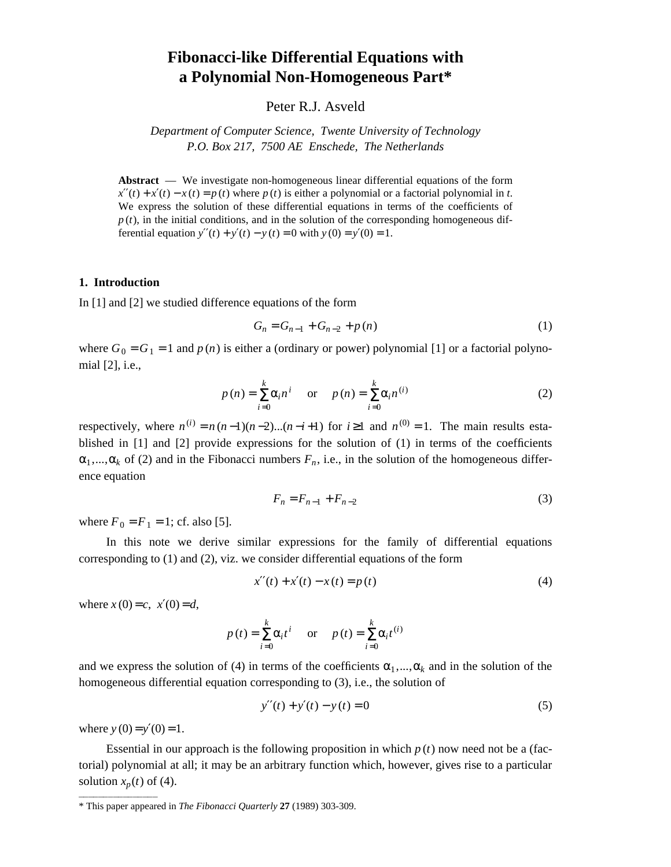# **Fibonacci-like Differential Equations with a Polynomial Non-Homogeneous Part\***

## Peter R.J. Asveld

*Department of Computer Science, Twente University of Technology P.O. Box 217, 7500 AE Enschede, The Netherlands*

**Abstract** — We investigate non-homogeneous linear differential equations of the form  $x''(t) + x'(t) - x(t) = p(t)$  where  $p(t)$  is either a polynomial or a factorial polynomial in *t*. We express the solution of these differential equations in terms of the coefficients of  $p(t)$ , in the initial conditions, and in the solution of the corresponding homogeneous differential equation  $y''(t) + y'(t) - y(t) = 0$  with  $y(0) = y'(0) = 1$ .

#### **1. Introduction**

In [1] and [2] we studied difference equations of the form

$$
G_n = G_{n-1} + G_{n-2} + p(n)
$$
 (1)

where  $G_0 = G_1 = 1$  and  $p(n)$  is either a (ordinary or power) polynomial [1] or a factorial polynomial [2], i.e.,

$$
p(n) = \sum_{i=0}^{k} \alpha_i n^i \quad \text{or} \quad p(n) = \sum_{i=0}^{k} \alpha_i n^{(i)} \tag{2}
$$

respectively, where  $n^{(i)} = n(n-1)(n-2)...(n-i+1)$  for  $i \ge 1$  and  $n^{(0)} = 1$ . The main results established in [1] and [2] provide expressions for the solution of (1) in terms of the coefficients  $\alpha_1, \ldots, \alpha_k$  of (2) and in the Fibonacci numbers  $F_n$ , i.e., in the solution of the homogeneous difference equation

$$
F_n = F_{n-1} + F_{n-2}
$$
 (3)

where  $F_0 = F_1 = 1$ ; cf. also [5].

In this note we derive similar expressions for the family of differential equations corresponding to (1) and (2), viz. we consider differential equations of the form

$$
x''(t) + x'(t) - x(t) = p(t)
$$
\n(4)

where  $x(0) = c$ ,  $x'(0) = d$ ,

$$
p(t) = \sum_{i=0}^{k} \alpha_i t^i \quad \text{or} \quad p(t) = \sum_{i=0}^{k} \alpha_i t^{(i)}
$$

and we express the solution of (4) in terms of the coefficients  $\alpha_1, ..., \alpha_k$  and in the solution of the homogeneous differential equation corresponding to (3), i.e., the solution of

$$
y''(t) + y'(t) - y(t) = 0
$$
\n(5)

where  $y(0) = y'(0) = 1$ .

hhhhhhhhhhhhhhhh

Essential in our approach is the following proposition in which  $p(t)$  now need not be a (factorial) polynomial at all; it may be an arbitrary function which, however, gives rise to a particular solution  $x_p(t)$  of (4).

<sup>\*</sup> This paper appeared in *The Fibonacci Quarterly* **27** (1989) 303-309.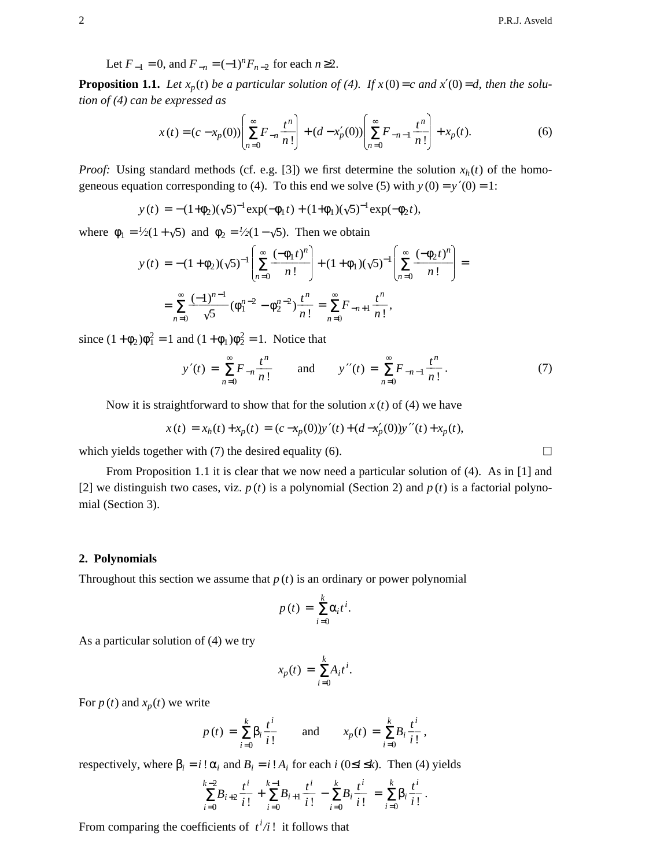Let  $F_{-1} = 0$ , and  $F_{-n} = (-1)^n F_{n-2}$  for each  $n \ge 2$ .

**Proposition 1.1.** Let  $x_p(t)$  be a particular solution of (4). If  $x(0) = c$  and  $x'(0) = d$ , then the solu*tion of (4) can be expressed as*

$$
x(t) = (c - x_p(0)) \left[ \sum_{n=0}^{\infty} F_{-n} \frac{t^n}{n!} \right] + (d - x'_p(0)) \left[ \sum_{n=0}^{\infty} F_{-n-1} \frac{t^n}{n!} \right] + x_p(t).
$$
 (6)

*Proof:* Using standard methods (cf. e.g. [3]) we first determine the solution  $x_h(t)$  of the homogeneous equation corresponding to (4). To this end we solve (5) with  $y(0) = y'(0) = 1$ :

$$
y(t) = -(1+\phi_2)(\sqrt{5})^{-1} \exp(-\phi_1 t) + (1+\phi_1)(\sqrt{5})^{-1} \exp(-\phi_2 t),
$$

where  $\phi_1 = \frac{l}{2}(1 + \sqrt{5})$  and  $\phi_2 = \frac{l}{2}(1 - \sqrt{5})$ . Then we obtain

$$
y(t) = -(1+\phi_2)(\sqrt{5})^{-1} \left[ \sum_{n=0}^{\infty} \frac{(-\phi_1 t)^n}{n!} \right] + (1+\phi_1)(\sqrt{5})^{-1} \left[ \sum_{n=0}^{\infty} \frac{(-\phi_2 t)^n}{n!} \right] =
$$
  
= 
$$
\sum_{n=0}^{\infty} \frac{(-1)^{n-1}}{\sqrt{5}} (\phi_1^{n-2} - \phi_2^{n-2}) \frac{t^n}{n!} = \sum_{n=0}^{\infty} F_{-n+1} \frac{t^n}{n!},
$$

since  $(1 + \phi_2)\phi_1^2 = 1$  and  $(1 + \phi_1)\phi_2^2 = 1$ . Notice that

$$
y'(t) = \sum_{n=0}^{\infty} F_{-n} \frac{t^n}{n!} \quad \text{and} \quad y''(t) = \sum_{n=0}^{\infty} F_{-n-1} \frac{t^n}{n!}. \tag{7}
$$

Now it is straightforward to show that for the solution  $x(t)$  of (4) we have

$$
x(t) = x_h(t) + x_p(t) = (c - x_p(0))y'(t) + (d - x'_p(0))y''(t) + x_p(t),
$$

which yields together with (7) the desired equality (6).  $\Box$ 

From Proposition 1.1 it is clear that we now need a particular solution of (4). As in [1] and [2] we distinguish two cases, viz.  $p(t)$  is a polynomial (Section 2) and  $p(t)$  is a factorial polynomial (Section 3).

### **2. Polynomials**

Throughout this section we assume that  $p(t)$  is an ordinary or power polynomial

$$
p(t) = \sum_{i=0}^{k} \alpha_i t^i.
$$

As a particular solution of (4) we try

$$
x_p(t) = \sum_{i=0}^k A_i t^i.
$$

For  $p(t)$  and  $x_p(t)$  we write

$$
p(t) = \sum_{i=0}^{k} \beta_i \frac{t^i}{i!}
$$
 and  $x_p(t) = \sum_{i=0}^{k} B_i \frac{t^i}{i!}$ ,

respectively, where  $β<sub>i</sub> = i!α<sub>i</sub>$  and  $B<sub>i</sub> = i!A<sub>i</sub>$  for each *i* (0≤*i* ≤*k*). Then (4) yields

$$
\sum_{i=0}^{k-2} B_{i+2} \frac{t^i}{i!} + \sum_{i=0}^{k-1} B_{i+1} \frac{t^i}{i!} - \sum_{i=0}^k B_i \frac{t^i}{i!} = \sum_{i=0}^k \beta_i \frac{t^i}{i!}.
$$

From comparing the coefficients of  $t^i/i$ ! it follows that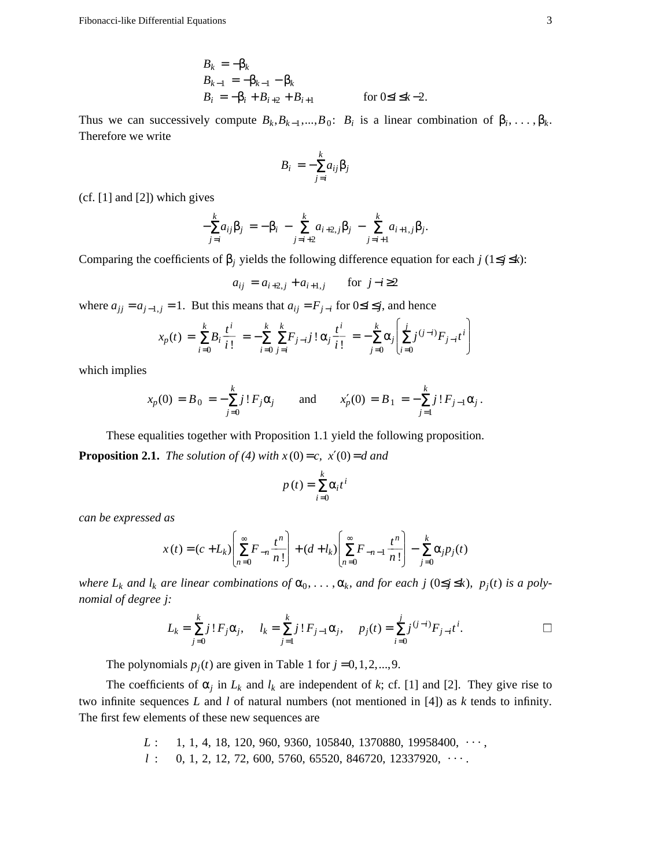$$
B_k = -\beta_k B_{k-1} = -\beta_{k-1} - \beta_k B_i = -\beta_i + B_{i+2} + B_{i+1}
$$
 for  $0 \le i \le k - 2$ .

Thus we can successively compute  $B_k, B_{k-1},..., B_0$ :  $B_i$  is a linear combination of  $\beta_i, ..., \beta_k$ . Therefore we write

$$
B_i = -\sum_{j=i}^k a_{ij} \beta_j
$$

(cf. [1] and [2]) which gives

$$
-\sum_{j=i}^{k} a_{ij} \beta_j = -\beta_i - \sum_{j=i+2}^{k} a_{i+2,j} \beta_j - \sum_{j=i+1}^{k} a_{i+1,j} \beta_j.
$$

Comparing the coefficients of  $β_j$  yields the following difference equation for each *j* (1≤*j* ≤*k*):

$$
a_{ij} = a_{i+2,j} + a_{i+1,j}
$$
 for  $j-i \ge 2$ 

where  $a_{jj} = a_{j-1,j} = 1$ . But this means that  $a_{ij} = F_{j-i}$  for  $0 \le i \le j$ , and hence

$$
x_p(t) = \sum_{i=0}^k B_i \frac{t^i}{i!} = -\sum_{i=0}^k \sum_{j=i}^k F_{j-i} j! \alpha_j \frac{t^i}{i!} = -\sum_{j=0}^k \alpha_j \left[ \sum_{i=0}^j j^{(j-i)} F_{j-i} t^i \right]
$$

which implies

$$
x_p(0) = B_0 = -\sum_{j=0}^k j! F_j \alpha_j
$$
 and  $x'_p(0) = B_1 = -\sum_{j=1}^k j! F_{j-1} \alpha_j$ .

These equalities together with Proposition 1.1 yield the following proposition. **Proposition 2.1.** *The solution of (4) with*  $x(0) = c$ ,  $x'(0) = d$  *and* 

$$
p(t) = \sum_{i=0}^{k} \alpha_i t^i
$$

*can be expressed as*

$$
x(t) = (c + L_k) \left[ \sum_{n=0}^{\infty} F_{-n} \frac{t^n}{n!} \right] + (d + l_k) \left[ \sum_{n=0}^{\infty} F_{-n-1} \frac{t^n}{n!} \right] - \sum_{j=0}^{k} \alpha_j p_j(t)
$$

*where*  $L_k$  *and*  $l_k$  *are linear combinations of*  $\alpha_0, \ldots, \alpha_k$ *, and for each j* (0≤*j* ≤*k*),  $p_j(t)$  *is a polynomial of degree j:*

$$
L_k = \sum_{j=0}^k j! F_j \alpha_j, \quad l_k = \sum_{j=1}^k j! F_{j-1} \alpha_j, \quad p_j(t) = \sum_{i=0}^j j^{(j-i)} F_{j-i} t^i.
$$

The polynomials  $p_j(t)$  are given in Table 1 for  $j = 0, 1, 2, \dots, 9$ .

The coefficients of  $\alpha_j$  in  $L_k$  and  $l_k$  are independent of k; cf. [1] and [2]. They give rise to two infinite sequences *L* and *l* of natural numbers (not mentioned in [4]) as *k* tends to infinity. The first few elements of these new sequences are

> $L: \quad 1, 1, 4, 18, 120, 960, 9360, 105840, 1370880, 19958400, \cdots$  $l$  : 0, 1, 2, 12, 72, 600, 5760, 65520, 846720, 12337920,  $\cdots$ .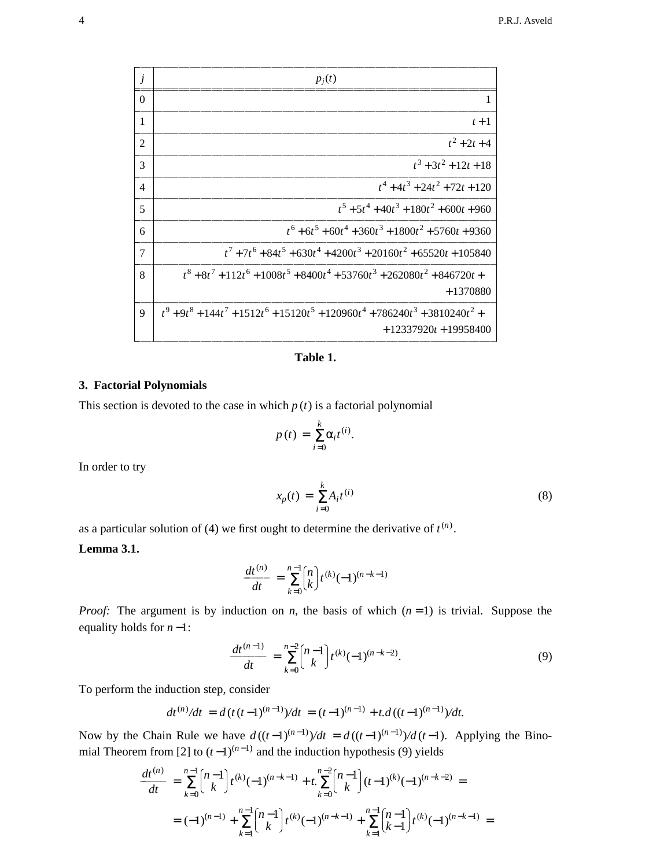| j              | $p_i(t)$                                                                                    |
|----------------|---------------------------------------------------------------------------------------------|
| $\Omega$       | 1                                                                                           |
| $\mathbf{1}$   | $t+1$                                                                                       |
| $\overline{2}$ | $t^2+2t+4$                                                                                  |
| 3              | $t^3 + 3t^2 + 12t + 18$                                                                     |
| $\overline{4}$ | $t^4+4t^3+24t^2+72t+120$                                                                    |
| 5              | $t^5 + 5t^4 + 40t^3 + 180t^2 + 600t + 960$                                                  |
| 6              | $t^6 + 6t^5 + 60t^4 + 360t^3 + 1800t^2 + 5760t + 9360$                                      |
| $\tau$         | $t^7 + 7t^6 + 84t^5 + 630t^4 + 4200t^3 + 20160t^2 + 65520t + 105840$                        |
| 8              | $t^8+8t^7+112t^6+1008t^5+8400t^4+53760t^3+262080t^2+846720t+$                               |
|                | $+1370880$                                                                                  |
| $\mathbf Q$    | $t^9+9t^8+144t^7+1512t^6+15120t^5+120960t^4+786240t^3+3810240t^2+$<br>$+12337920t+19958400$ |

**Table 1.**

## **3. Factorial Polynomials**

This section is devoted to the case in which  $p(t)$  is a factorial polynomial

$$
p(t) = \sum_{i=0}^{k} \alpha_i t^{(i)}.
$$

In order to try

$$
x_p(t) = \sum_{i=0}^{k} A_i t^{(i)}
$$
 (8)

as a particular solution of (4) we first ought to determine the derivative of  $t^{(n)}$ .

# **Lemma 3.1.**

$$
\frac{dt^{(n)}}{dt} = \sum_{k=0}^{n-1} {n \choose k} t^{(k)} (-1)^{(n-k-1)}
$$

*Proof:* The argument is by induction on *n*, the basis of which  $(n=1)$  is trivial. Suppose the equality holds for *n* −1:

$$
\frac{dt^{(n-1)}}{dt} = \sum_{k=0}^{n-2} {n-1 \choose k} t^{(k)} (-1)^{(n-k-2)}.
$$
\n(9)

To perform the induction step, consider

$$
dt^{(n)}/dt = d(t(t-1)^{(n-1)})/dt = (t-1)^{(n-1)} + t \cdot d((t-1)^{(n-1)})/dt.
$$

Now by the Chain Rule we have  $d((t-1)^{(n-1)})/dt = d((t-1)^{(n-1)})/d(t-1)$ . Applying the Binomial Theorem from [2] to  $(t-1)^{(n-1)}$  and the induction hypothesis (9) yields

$$
\frac{dt^{(n)}}{dt} = \sum_{k=0}^{n-1} {n-1 \choose k} t^{(k)} (-1)^{(n-k-1)} + t \sum_{k=0}^{n-2} {n-1 \choose k} (t-1)^{(k)} (-1)^{(n-k-2)} =
$$
  
=  $(-1)^{(n-1)} + \sum_{k=1}^{n-1} {n-1 \choose k} t^{(k)} (-1)^{(n-k-1)} + \sum_{k=1}^{n-1} {n-1 \choose k-1} t^{(k)} (-1)^{(n-k-1)} =$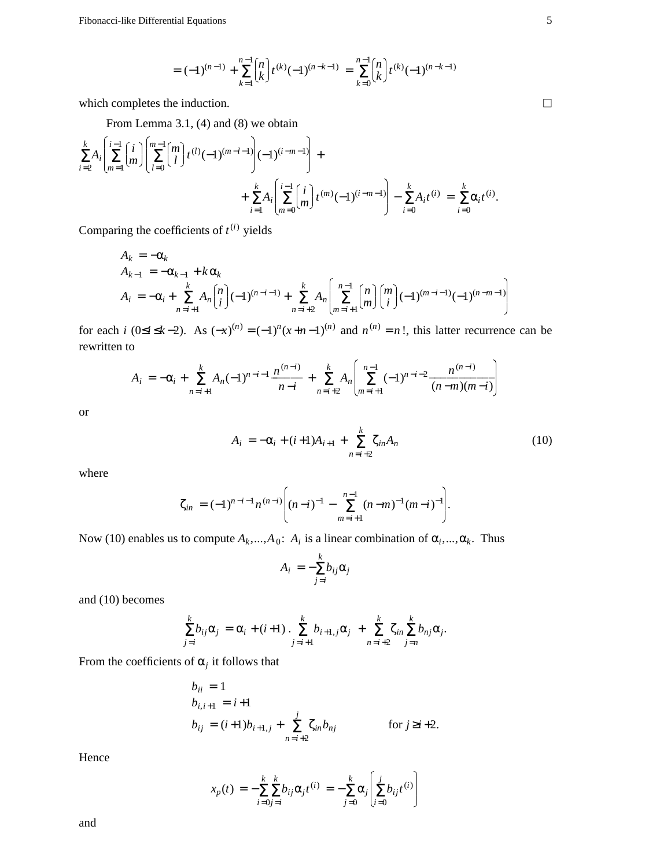$$
= (-1)^{(n-1)} + \sum_{k=1}^{n-1} {n \choose k} t^{(k)} (-1)^{(n-k-1)} = \sum_{k=0}^{n-1} {n \choose k} t^{(k)} (-1)^{(n-k-1)}
$$

which completes the induction.  $\Box$ 

From Lemma 3.1, (4) and (8) we obtain

$$
\sum_{i=2}^{k} A_i \left[ \sum_{m=1}^{i-1} {i \choose m} \left[ \sum_{l=0}^{m-1} {m \choose l} t^{(l)} (-1)^{(m-l-1)} \right] (-1)^{(i-m-1)} \right] + \sum_{i=1}^{k} A_i \left[ \sum_{m=0}^{i-1} {i \choose m} t^{(m)} (-1)^{(i-m-1)} \right] - \sum_{i=0}^{k} A_i t^{(i)} = \sum_{i=0}^{k} \alpha_i t^{(i)}.
$$

Comparing the coefficients of  $t^{(i)}$  yields

$$
A_k = -\alpha_k
$$
  
\n
$$
A_{k-1} = -\alpha_{k-1} + k \alpha_k
$$
  
\n
$$
A_i = -\alpha_i + \sum_{n=i+1}^k A_n {n \choose i} (-1)^{(n-i-1)} + \sum_{n=i+2}^k A_n \left[ \sum_{m=i+1}^{n-1} {n \choose m} {m \choose i} (-1)^{(m-i-1)} (-1)^{(n-m-1)} \right]
$$

for each *i* (0≤*i* ≤*k* −2). As  $(-x)^{(n)} = (-1)^n (x+n-1)^{(n)}$  and  $n^{(n)} = n!$ , this latter recurrence can be rewritten to

$$
A_i = -\alpha_i + \sum_{n=i+1}^k A_n (-1)^{n-i-1} \frac{n^{(n-i)}}{n-i} + \sum_{n=i+2}^k A_n \left[ \sum_{m=i+1}^{n-1} (-1)^{n-i-2} \frac{n^{(n-i)}}{(n-m)(m-i)} \right]
$$

or

$$
A_i = -\alpha_i + (i+1)A_{i+1} + \sum_{n=i+2}^{k} \zeta_{in} A_n
$$
 (10)

where

$$
\zeta_{in} = (-1)^{n-i-1} n^{(n-i)} \bigg[ (n-i)^{-1} - \sum_{m=i+1}^{n-1} (n-m)^{-1} (m-i)^{-1} \bigg].
$$

Now (10) enables us to compute  $A_k$ , ...,  $A_0$ :  $A_i$  is a linear combination of  $\alpha_i$ , ...,  $\alpha_k$ . Thus

$$
A_i = -\sum_{j=i}^k b_{ij} \alpha_j
$$

and (10) becomes

$$
\sum_{j=i}^k b_{ij}\alpha_j = \alpha_i + (i+1) \cdot \sum_{j=i+1}^k b_{i+1,j}\alpha_j + \sum_{n=i+2}^k \zeta_{in} \sum_{j=n}^k b_{nj}\alpha_j.
$$

From the coefficients of  $\alpha_j$  it follows that

$$
b_{ii} = 1
$$
  
\n
$$
b_{i,i+1} = i+1
$$
  
\n
$$
b_{ij} = (i+1)b_{i+1,j} + \sum_{n=i+2}^{j} \zeta_{in} b_{nj}
$$
 for  $j \ge i+2$ .

Hence

$$
x_p(t) = -\sum_{i=0}^{k} \sum_{j=i}^{k} b_{ij} \alpha_j t^{(i)} = -\sum_{j=0}^{k} \alpha_j \left( \sum_{i=0}^{j} b_{ij} t^{(i)} \right)
$$

and

J O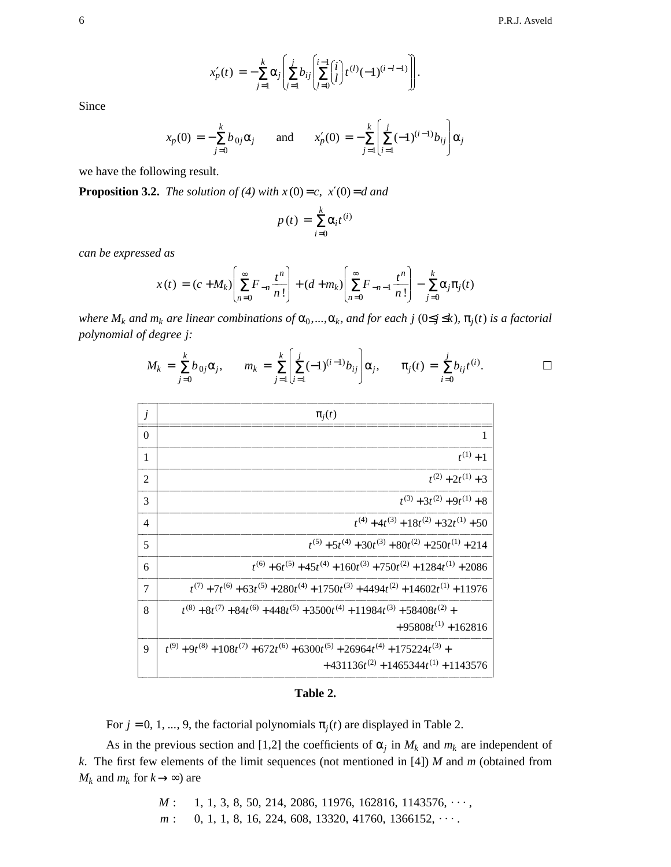$$
x'_{p}(t) = -\sum_{j=1}^{k} \alpha_{j} \left( \sum_{i=1}^{j} b_{ij} \left( \sum_{l=0}^{i-1} {i \choose l} t^{(l)} (-1)^{(i-l-1)} \right) \right).
$$

Since

$$
x_p(0) = -\sum_{j=0}^k b_{0j} \alpha_j
$$
 and  $x'_p(0) = -\sum_{j=1}^k \left[ \sum_{i=1}^j (-1)^{(i-1)} b_{ij} \right] \alpha_j$ 

we have the following result.

**Proposition 3.2.** *The solution of (4) with*  $x(0) = c$ ,  $x'(0) = d$  *and* 

$$
p(t) = \sum_{i=0}^{k} \alpha_i t^{(i)}
$$

*can be expressed as*

$$
x(t) = (c + M_k) \left[ \sum_{n=0}^{\infty} F_{-n} \frac{t^n}{n!} \right] + (d + m_k) \left[ \sum_{n=0}^{\infty} F_{-n-1} \frac{t^n}{n!} \right] - \sum_{j=0}^{k} \alpha_j \pi_j(t)
$$

 $w$ here  $M_k$  and  $m_k$  are linear combinations of  $\alpha_0,...,\alpha_k$ , and for each j ( $0\leq j\leq k$ ),  $\pi_j(t)$  is a factorial *polynomial of degree j:*

$$
M_k = \sum_{j=0}^k b_{0j} \alpha_j, \qquad m_k = \sum_{j=1}^k \left[ \sum_{i=1}^j (-1)^{(i-1)} b_{ij} \right] \alpha_j, \qquad \pi_j(t) = \sum_{i=0}^j b_{ij} t^{(i)}.
$$

| j              | $\pi_i(t)$                                                                                       |
|----------------|--------------------------------------------------------------------------------------------------|
| $\Omega$       | 1                                                                                                |
| 1              | $t^{(1)}+1$                                                                                      |
| $\overline{2}$ | $t^{(2)} + 2t^{(1)} + 3$                                                                         |
| 3              | $t^{(3)} + 3t^{(2)} + 9t^{(1)} + 8$                                                              |
| 4              | $t^{(4)} + 4t^{(3)} + 18t^{(2)} + 32t^{(1)} + 50$                                                |
| 5              | $t^{(5)} + 5t^{(4)} + 30t^{(3)} + 80t^{(2)} + 250t^{(1)} + 214$                                  |
| 6              | $t^{(6)} + 6t^{(5)} + 45t^{(4)} + 160t^{(3)} + 750t^{(2)} + 1284t^{(1)} + 2086$                  |
| 7              | $t^{(7)} + 7t^{(6)} + 63t^{(5)} + 280t^{(4)} + 1750t^{(3)} + 4494t^{(2)} + 14602t^{(1)} + 11976$ |
| 8              | $t^{(8)} + 8t^{(7)} + 84t^{(6)} + 448t^{(5)} + 3500t^{(4)} + 11984t^{(3)} + 58408t^{(2)} +$      |
|                | $+95808t^{(1)}+162816$                                                                           |
| 9              | $t^{(9)} + 9t^{(8)} + 108t^{(7)} + 672t^{(6)} + 6300t^{(5)} + 26964t^{(4)} + 175224t^{(3)} +$    |
|                | $+431136t^{(2)} + 1465344t^{(1)} + 1143576$                                                      |

**Table 2.**

For  $j = 0, 1, ..., 9$ , the factorial polynomials  $\pi_j(t)$  are displayed in Table 2.

As in the previous section and [1,2] the coefficients of  $\alpha_j$  in  $M_k$  and  $m_k$  are independent of *k*. The first few elements of the limit sequences (not mentioned in [4]) *M* and *m* (obtained from *M*<sup>*k*</sup> and *m*<sup>*k*</sup> for *k* →∞) are

> $M: \quad 1, 1, 3, 8, 50, 214, 2086, 11976, 162816, 1143576, \cdots,$  $m:$  0, 1, 1, 8, 16, 224, 608, 13320, 41760, 1366152,  $\cdots$ .